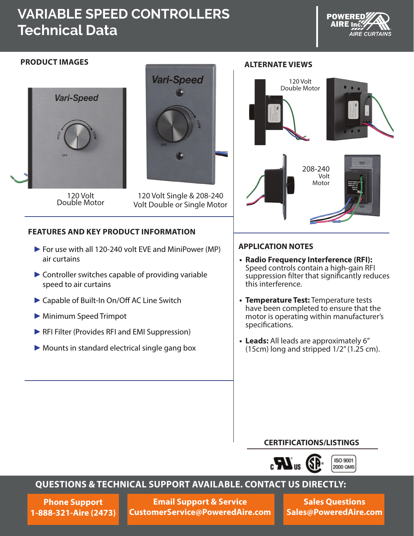# **VARIABLE SPEED CONTROLLERS Technical Data**





120 Volt<br>Double Motor



120 Volt Single & 208-240 Volt Double or Single Motor

### **FEATURES AND KEY PRODUCT INFORMATION**

- ►For use with all 120-240 volt EVE and MiniPower (MP) air curtains
- ►Controller switches capable of providing variable speed to air curtains
- ►Capable of Built-In On/Off AC Line Switch
- ►Minimum Speed Trimpot
- ►RFI Filter (Provides RFI and EMI Suppression)
- ► Mounts in standard electrical single gang box



### **APPLICATION NOTES**

- **• Radio Frequency Interference (RFI):** Speed controls contain a high-gain RFI suppression filter that significantly reduces this interference.
- **• Temperature Test:** Temperature tests have been completed to ensure that the motor is operating within manufacturer's specifications.
- **• Leads:** All leads are approximately 6" (15cm) long and stripped  $1/2$ " (1.25 cm).

#### **CERTIFICATIONS/LISTINGS**



# **QUESTIONS & TECHNICAL SUPPORT AVAILABLE. CONTACT US DIRECTLY:**

**Phone Support 1-888-321-Aire (2473)**

**Email Support & Service CustomerService@PoweredAire.com**

**Sales Questions Sales@PoweredAire.com**